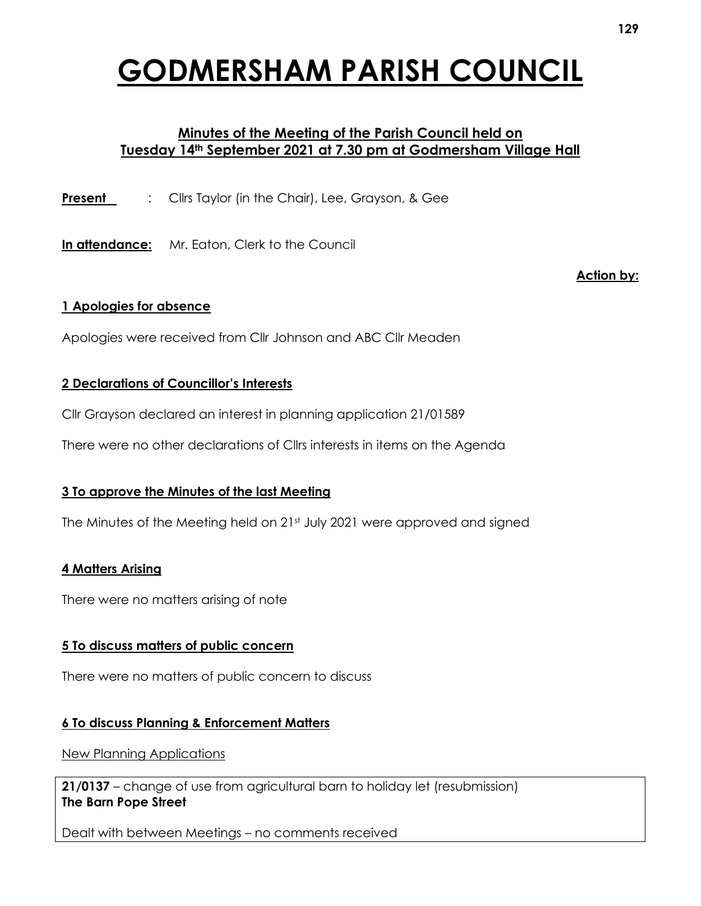# **GODMERSHAM PARISH COUNCIL**

# **Minutes of the Meeting of the Parish Council held on Tuesday 14th September 2021 at 7.30 pm at Godmersham Village Hall**

**Present** : Clirs Taylor (in the Chair), Lee, Grayson, & Gee

**In attendance:** Mr. Eaton, Clerk to the Council

**Action by:**

#### **1 Apologies for absence**

Apologies were received from Cllr Johnson and ABC Cllr Meaden

## **2 Declarations of Councillor's Interests**

Cllr Grayson declared an interest in planning application 21/01589

There were no other declarations of Cllrs interests in items on the Agenda

# **3 To approve the Minutes of the last Meeting**

The Minutes of the Meeting held on 21st July 2021 were approved and signed

#### **4 Matters Arising**

There were no matters arising of note

#### **5 To discuss matters of public concern**

There were no matters of public concern to discuss

# **6 To discuss Planning & Enforcement Matters**

New Planning Applications

**21/0137** – change of use from agricultural barn to holiday let (resubmission) **The Barn Pope Street**

Dealt with between Meetings – no comments received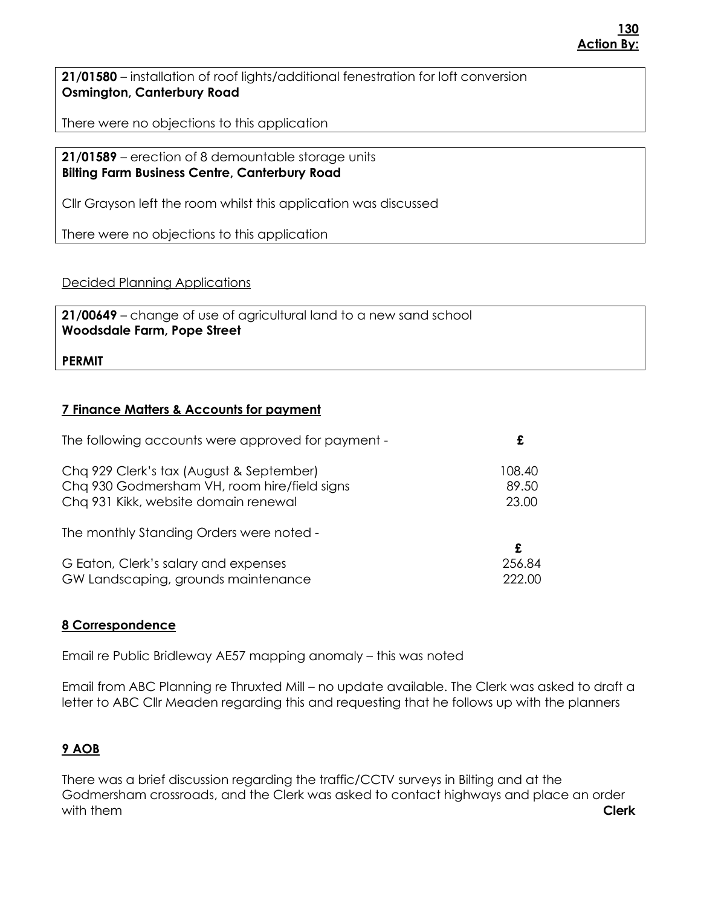**21/01580** – installation of roof lights/additional fenestration for loft conversion **Osmington, Canterbury Road**

There were no objections to this application

**21/01589** – erection of 8 demountable storage units **Bilting Farm Business Centre, Canterbury Road**

Cllr Grayson left the room whilst this application was discussed

There were no objections to this application

Decided Planning Applications

**21/00649** – change of use of agricultural land to a new sand school **Woodsdale Farm, Pope Street**

#### **PERMIT**

## **7 Finance Matters & Accounts for payment**

| The following accounts were approved for payment - |        |
|----------------------------------------------------|--------|
| Cha 929 Clerk's tax (August & September)           | 108.40 |
| Chq 930 Godmersham VH, room hire/field signs       | 89.50  |
| Chq 931 Kikk, website domain renewal               | 23.00  |
| The monthly Standing Orders were noted -           | £      |
| G Eaton, Clerk's salary and expenses               | 256.84 |
| GW Landscaping, grounds maintenance                | 222.00 |

#### **8 Correspondence**

Email re Public Bridleway AE57 mapping anomaly – this was noted

Email from ABC Planning re Thruxted Mill – no update available. The Clerk was asked to draft a letter to ABC Cllr Meaden regarding this and requesting that he follows up with the planners

# **9 AOB**

There was a brief discussion regarding the traffic/CCTV surveys in Bilting and at the Godmersham crossroads, and the Clerk was asked to contact highways and place an order with them **Clerk**